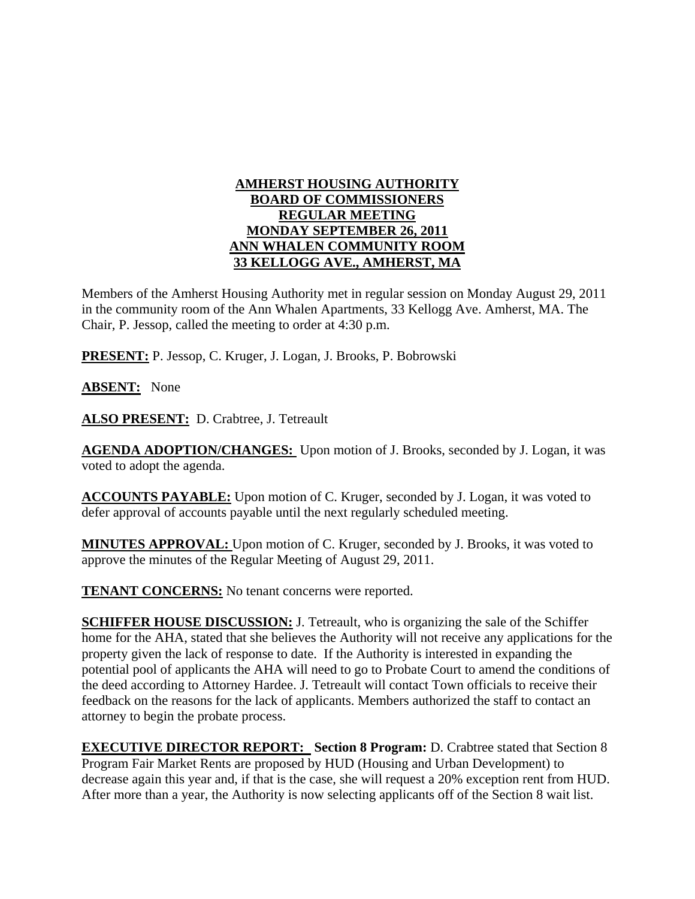## **AMHERST HOUSING AUTHORITY BOARD OF COMMISSIONERS REGULAR MEETING MONDAY SEPTEMBER 26, 2011 ANN WHALEN COMMUNITY ROOM 33 KELLOGG AVE., AMHERST, MA**

Members of the Amherst Housing Authority met in regular session on Monday August 29, 2011 in the community room of the Ann Whalen Apartments, 33 Kellogg Ave. Amherst, MA. The Chair, P. Jessop, called the meeting to order at 4:30 p.m.

**PRESENT:** P. Jessop, C. Kruger, J. Logan, J. Brooks, P. Bobrowski

**ABSENT:** None

**ALSO PRESENT:** D. Crabtree, J. Tetreault

**AGENDA ADOPTION/CHANGES:** Upon motion of J. Brooks, seconded by J. Logan, it was voted to adopt the agenda.

**ACCOUNTS PAYABLE:** Upon motion of C. Kruger, seconded by J. Logan, it was voted to defer approval of accounts payable until the next regularly scheduled meeting.

**MINUTES APPROVAL:** Upon motion of C. Kruger, seconded by J. Brooks, it was voted to approve the minutes of the Regular Meeting of August 29, 2011.

**TENANT CONCERNS:** No tenant concerns were reported.

**SCHIFFER HOUSE DISCUSSION:** J. Tetreault, who is organizing the sale of the Schiffer home for the AHA, stated that she believes the Authority will not receive any applications for the property given the lack of response to date. If the Authority is interested in expanding the potential pool of applicants the AHA will need to go to Probate Court to amend the conditions of the deed according to Attorney Hardee. J. Tetreault will contact Town officials to receive their feedback on the reasons for the lack of applicants. Members authorized the staff to contact an attorney to begin the probate process.

**EXECUTIVE DIRECTOR REPORT:** Section 8 Program: D. Crabtree stated that Section 8 Program Fair Market Rents are proposed by HUD (Housing and Urban Development) to decrease again this year and, if that is the case, she will request a 20% exception rent from HUD. After more than a year, the Authority is now selecting applicants off of the Section 8 wait list.